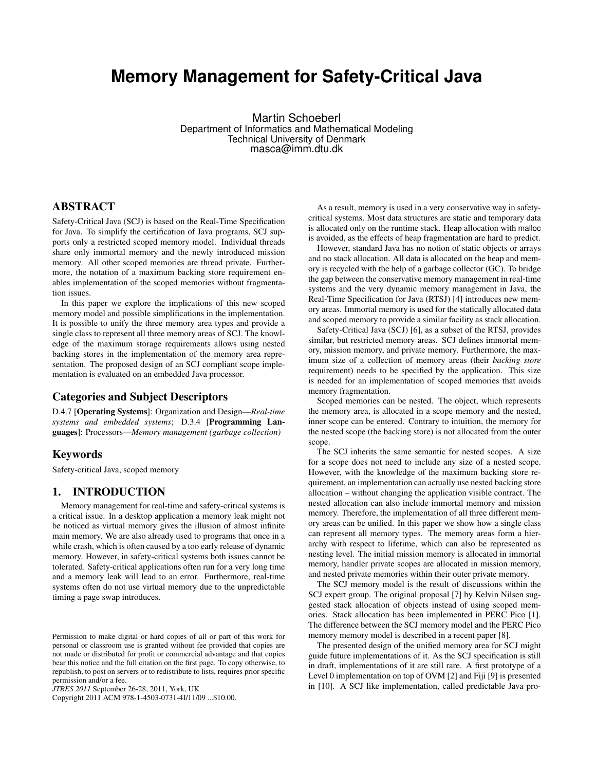# **Memory Management for Safety-Critical Java**

Martin Schoeberl Department of Informatics and Mathematical Modeling Technical University of Denmark masca@imm.dtu.dk

# ABSTRACT

Safety-Critical Java (SCJ) is based on the Real-Time Specification for Java. To simplify the certification of Java programs, SCJ supports only a restricted scoped memory model. Individual threads share only immortal memory and the newly introduced mission memory. All other scoped memories are thread private. Furthermore, the notation of a maximum backing store requirement enables implementation of the scoped memories without fragmentation issues.

In this paper we explore the implications of this new scoped memory model and possible simplifications in the implementation. It is possible to unify the three memory area types and provide a single class to represent all three memory areas of SCJ. The knowledge of the maximum storage requirements allows using nested backing stores in the implementation of the memory area representation. The proposed design of an SCJ compliant scope implementation is evaluated on an embedded Java processor.

# Categories and Subject Descriptors

D.4.7 [Operating Systems]: Organization and Design—*Real-time systems and embedded systems*; D.3.4 [Programming Languages]: Processors—*Memory management (garbage collection)*

# Keywords

Safety-critical Java, scoped memory

# 1. INTRODUCTION

Memory management for real-time and safety-critical systems is a critical issue. In a desktop application a memory leak might not be noticed as virtual memory gives the illusion of almost infinite main memory. We are also already used to programs that once in a while crash, which is often caused by a too early release of dynamic memory. However, in safety-critical systems both issues cannot be tolerated. Safety-critical applications often run for a very long time and a memory leak will lead to an error. Furthermore, real-time systems often do not use virtual memory due to the unpredictable timing a page swap introduces.

Copyright 2011 ACM 978-1-4503-0731-4I/11/09 ...\$10.00.

As a result, memory is used in a very conservative way in safetycritical systems. Most data structures are static and temporary data is allocated only on the runtime stack. Heap allocation with malloc is avoided, as the effects of heap fragmentation are hard to predict.

However, standard Java has no notion of static objects or arrays and no stack allocation. All data is allocated on the heap and memory is recycled with the help of a garbage collector (GC). To bridge the gap between the conservative memory management in real-time systems and the very dynamic memory management in Java, the Real-Time Specification for Java (RTSJ) [\[4\]](#page-6-0) introduces new memory areas. Immortal memory is used for the statically allocated data and scoped memory to provide a similar facility as stack allocation.

Safety-Critical Java (SCJ) [\[6\]](#page-6-1), as a subset of the RTSJ, provides similar, but restricted memory areas. SCJ defines immortal memory, mission memory, and private memory. Furthermore, the maximum size of a collection of memory areas (their *backing store* requirement) needs to be specified by the application. This size is needed for an implementation of scoped memories that avoids memory fragmentation.

Scoped memories can be nested. The object, which represents the memory area, is allocated in a scope memory and the nested, inner scope can be entered. Contrary to intuition, the memory for the nested scope (the backing store) is not allocated from the outer scope.

The SCJ inherits the same semantic for nested scopes. A size for a scope does not need to include any size of a nested scope. However, with the knowledge of the maximum backing store requirement, an implementation can actually use nested backing store allocation – without changing the application visible contract. The nested allocation can also include immortal memory and mission memory. Therefore, the implementation of all three different memory areas can be unified. In this paper we show how a single class can represent all memory types. The memory areas form a hierarchy with respect to lifetime, which can also be represented as nesting level. The initial mission memory is allocated in immortal memory, handler private scopes are allocated in mission memory, and nested private memories within their outer private memory.

The SCJ memory model is the result of discussions within the SCJ expert group. The original proposal [\[7\]](#page-6-2) by Kelvin Nilsen suggested stack allocation of objects instead of using scoped memories. Stack allocation has been implemented in PERC Pico [\[1\]](#page-6-3). The difference between the SCJ memory model and the PERC Pico memory memory model is described in a recent paper [\[8\]](#page-6-4).

The presented design of the unified memory area for SCJ might guide future implementations of it. As the SCJ specification is still in draft, implementations of it are still rare. A first prototype of a Level 0 implementation on top of OVM [\[2\]](#page-6-5) and Fiji [\[9\]](#page-6-6) is presented in [\[10\]](#page-6-7). A SCJ like implementation, called predictable Java pro-

Permission to make digital or hard copies of all or part of this work for personal or classroom use is granted without fee provided that copies are not made or distributed for profit or commercial advantage and that copies bear this notice and the full citation on the first page. To copy otherwise, to republish, to post on servers or to redistribute to lists, requires prior specific permission and/or a fee.

*JTRES 2011* September 26-28, 2011, York, UK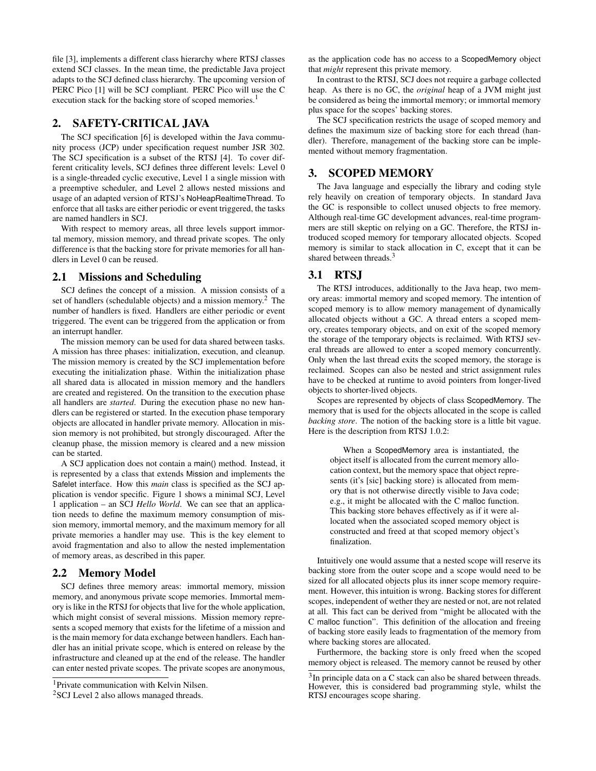file [\[3\]](#page-6-8), implements a different class hierarchy where RTSJ classes extend SCJ classes. In the mean time, the predictable Java project adapts to the SCJ defined class hierarchy. The upcoming version of PERC Pico [\[1\]](#page-6-3) will be SCJ compliant. PERC Pico will use the C execution stack for the backing store of scoped memories.<sup>[1](#page-1-0)</sup>

# 2. SAFETY-CRITICAL JAVA

The SCJ specification [\[6\]](#page-6-1) is developed within the Java community process (JCP) under specification request number JSR 302. The SCJ specification is a subset of the RTSJ [\[4\]](#page-6-0). To cover different criticality levels, SCJ defines three different levels: Level 0 is a single-threaded cyclic executive, Level 1 a single mission with a preemptive scheduler, and Level 2 allows nested missions and usage of an adapted version of RTSJ's NoHeapRealtimeThread. To enforce that all tasks are either periodic or event triggered, the tasks are named handlers in SCJ.

With respect to memory areas, all three levels support immortal memory, mission memory, and thread private scopes. The only difference is that the backing store for private memories for all handlers in Level 0 can be reused.

# 2.1 Missions and Scheduling

SCJ defines the concept of a mission. A mission consists of a set of handlers (schedulable objects) and a mission memory.<sup>[2](#page-1-1)</sup> The number of handlers is fixed. Handlers are either periodic or event triggered. The event can be triggered from the application or from an interrupt handler.

The mission memory can be used for data shared between tasks. A mission has three phases: initialization, execution, and cleanup. The mission memory is created by the SCJ implementation before executing the initialization phase. Within the initialization phase all shared data is allocated in mission memory and the handlers are created and registered. On the transition to the execution phase all handlers are *started*. During the execution phase no new handlers can be registered or started. In the execution phase temporary objects are allocated in handler private memory. Allocation in mission memory is not prohibited, but strongly discouraged. After the cleanup phase, the mission memory is cleared and a new mission can be started.

A SCJ application does not contain a main() method. Instead, it is represented by a class that extends Mission and implements the Safelet interface. How this *main* class is specified as the SCJ application is vendor specific. Figure [1](#page-2-0) shows a minimal SCJ, Level 1 application – an SCJ *Hello World*. We can see that an application needs to define the maximum memory consumption of mission memory, immortal memory, and the maximum memory for all private memories a handler may use. This is the key element to avoid fragmentation and also to allow the nested implementation of memory areas, as described in this paper.

#### 2.2 Memory Model

SCJ defines three memory areas: immortal memory, mission memory, and anonymous private scope memories. Immortal memory is like in the RTSJ for objects that live for the whole application, which might consist of several missions. Mission memory represents a scoped memory that exists for the lifetime of a mission and is the main memory for data exchange between handlers. Each handler has an initial private scope, which is entered on release by the infrastructure and cleaned up at the end of the release. The handler can enter nested private scopes. The private scopes are anonymous,

as the application code has no access to a ScopedMemory object that *might* represent this private memory.

In contrast to the RTSJ, SCJ does not require a garbage collected heap. As there is no GC, the *original* heap of a JVM might just be considered as being the immortal memory; or immortal memory plus space for the scopes' backing stores.

The SCJ specification restricts the usage of scoped memory and defines the maximum size of backing store for each thread (handler). Therefore, management of the backing store can be implemented without memory fragmentation.

# 3. SCOPED MEMORY

The Java language and especially the library and coding style rely heavily on creation of temporary objects. In standard Java the GC is responsible to collect unused objects to free memory. Although real-time GC development advances, real-time programmers are still skeptic on relying on a GC. Therefore, the RTSJ introduced scoped memory for temporary allocated objects. Scoped memory is similar to stack allocation in C, except that it can be shared between threads.<sup>[3](#page-1-2)</sup>

# 3.1 RTSJ

The RTSJ introduces, additionally to the Java heap, two memory areas: immortal memory and scoped memory. The intention of scoped memory is to allow memory management of dynamically allocated objects without a GC. A thread enters a scoped memory, creates temporary objects, and on exit of the scoped memory the storage of the temporary objects is reclaimed. With RTSJ several threads are allowed to enter a scoped memory concurrently. Only when the last thread exits the scoped memory, the storage is reclaimed. Scopes can also be nested and strict assignment rules have to be checked at runtime to avoid pointers from longer-lived objects to shorter-lived objects.

Scopes are represented by objects of class ScopedMemory. The memory that is used for the objects allocated in the scope is called *backing store*. The notion of the backing store is a little bit vague. Here is the description from RTSJ 1.0.2:

When a ScopedMemory area is instantiated, the object itself is allocated from the current memory allocation context, but the memory space that object represents (it's [sic] backing store) is allocated from memory that is not otherwise directly visible to Java code; e.g., it might be allocated with the C malloc function. This backing store behaves effectively as if it were allocated when the associated scoped memory object is constructed and freed at that scoped memory object's finalization.

Intuitively one would assume that a nested scope will reserve its backing store from the outer scope and a scope would need to be sized for all allocated objects plus its inner scope memory requirement. However, this intuition is wrong. Backing stores for different scopes, independent of wether they are nested or not, are not related at all. This fact can be derived from "might be allocated with the C malloc function". This definition of the allocation and freeing of backing store easily leads to fragmentation of the memory from where backing stores are allocated.

Furthermore, the backing store is only freed when the scoped memory object is released. The memory cannot be reused by other

<span id="page-1-0"></span><sup>1</sup>Private communication with Kelvin Nilsen.

<span id="page-1-1"></span><sup>&</sup>lt;sup>2</sup>SCJ Level 2 also allows managed threads.

<span id="page-1-2"></span> $3$ In principle data on a C stack can also be shared between threads. However, this is considered bad programming style, whilst the RTSJ encourages scope sharing.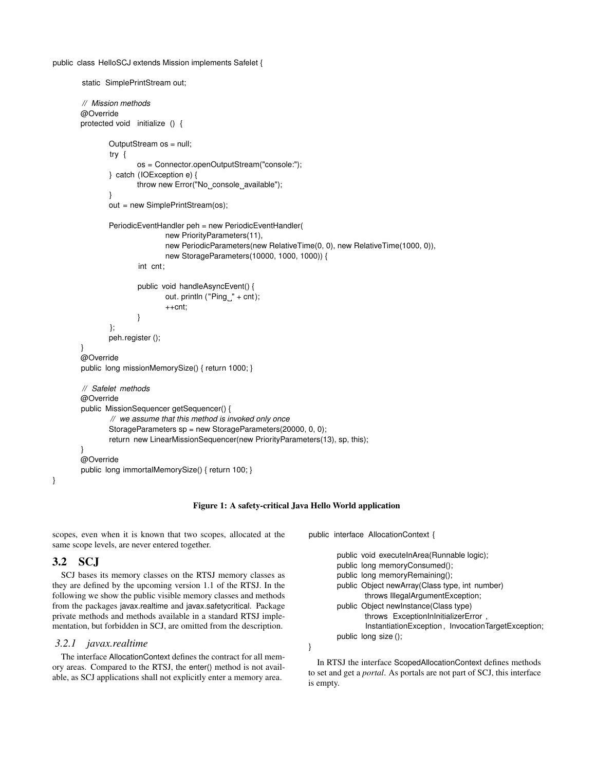public class HelloSCJ extends Mission implements Safelet {

```
static SimplePrintStream out;
// Mission methods
@Override
protected void initialize () {
        OutputStream os = null;
        try {
               os = Connector.openOutputStream("console:");
       } catch (IOException e) {
               throw new Error("No console available");
        }
       out = new SimplePrintStream(os);
        PeriodicEventHandler peh = new PeriodicEventHandler(
                       new PriorityParameters(11),
                       new PeriodicParameters(new RelativeTime(0, 0), new RelativeTime(1000, 0)),
                       new StorageParameters(10000, 1000, 1000)) {
                int cnt;
                public void handleAsyncEvent() {
                       out. println ("Ping'' + \text{cnt});
                       ++cnt:
               }
        };
       peh.register ();
}
@Override
public long missionMemorySize() { return 1000; }
// Safelet methods
@Override
public MissionSequencer getSequencer() {
        // we assume that this method is invoked only once
        StorageParameters sp = new StorageParameters(20000, 0, 0);
        return new LinearMissionSequencer(new PriorityParameters(13), sp, this);
}
@Override
public long immortalMemorySize() { return 100; }
```
#### <span id="page-2-0"></span>Figure 1: A safety-critical Java Hello World application

scopes, even when it is known that two scopes, allocated at the same scope levels, are never entered together.

# 3.2 SCJ

}

SCJ bases its memory classes on the RTSJ memory classes as they are defined by the upcoming version 1.1 of the RTSJ. In the following we show the public visible memory classes and methods from the packages javax.realtime and javax.safetycritical. Package private methods and methods available in a standard RTSJ implementation, but forbidden in SCJ, are omitted from the description.

#### *3.2.1 javax.realtime*

The interface AllocationContext defines the contract for all memory areas. Compared to the RTSJ, the enter() method is not available, as SCJ applications shall not explicitly enter a memory area.

public interface AllocationContext {

```
public void executeInArea(Runnable logic);
public long memoryConsumed();
public long memoryRemaining();
public Object newArray(Class type, int number)
       throws IllegalArgumentException;
public Object newInstance(Class type)
       throws ExceptionInInitializerError,
       InstantiationException , InvocationTargetException;
public long size ();
```
}

In RTSJ the interface ScopedAllocationContext defines methods to set and get a *portal*. As portals are not part of SCJ, this interface is empty.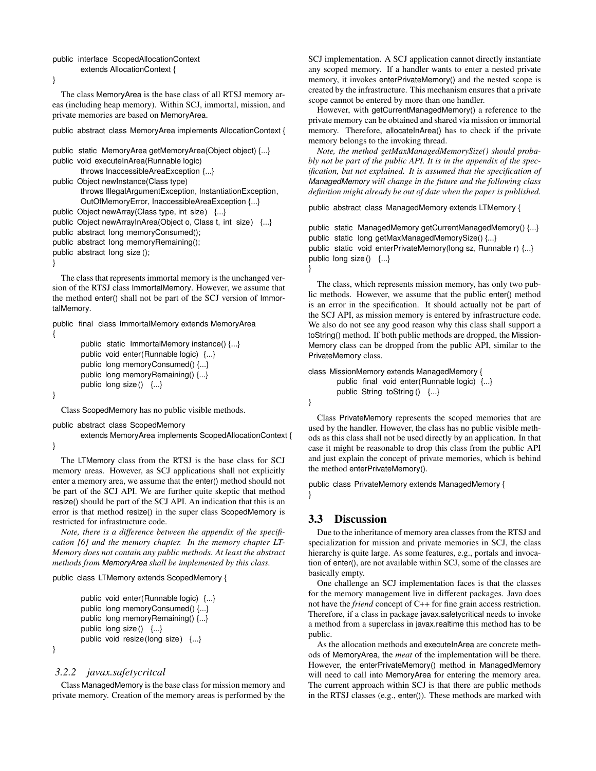```
public interface ScopedAllocationContext
       extends AllocationContext {
```
}

}

}

The class MemoryArea is the base class of all RTSJ memory areas (including heap memory). Within SCJ, immortal, mission, and private memories are based on MemoryArea.

public abstract class MemoryArea implements AllocationContext {

```
public static MemoryArea getMemoryArea(Object object) {...}
public void executeInArea(Runnable logic)
       throws InaccessibleAreaException {...}
public Object newInstance(Class type)
       throws IllegalArgumentException, InstantiationException,
       OutOfMemoryError, InaccessibleAreaException {...}
public Object newArray(Class type, int size) {...}
public Object newArrayInArea(Object o, Class t, int size) {...}
public abstract long memoryConsumed();
public abstract long memoryRemaining();
public abstract long size ();
}
```
The class that represents immortal memory is the unchanged version of the RTSJ class ImmortalMemory. However, we assume that the method enter() shall not be part of the SCJ version of ImmortalMemory.

public final class ImmortalMemory extends MemoryArea {

```
public static ImmortalMemory instance() {...}
public void enter(Runnable logic) {...}
public long memoryConsumed() {...}
public long memoryRemaining() {...}
public long size () {...}
```
Class ScopedMemory has no public visible methods.

public abstract class ScopedMemory

extends MemoryArea implements ScopedAllocationContext { }

The LTMemory class from the RTSJ is the base class for SCJ memory areas. However, as SCJ applications shall not explicitly enter a memory area, we assume that the enter() method should not be part of the SCJ API. We are further quite skeptic that method resize() should be part of the SCJ API. An indication that this is an error is that method resize() in the super class ScopedMemory is restricted for infrastructure code.

*Note, there is a difference between the appendix of the specification [\[6\]](#page-6-1) and the memory chapter. In the memory chapter LT-Memory does not contain any public methods. At least the abstract methods from MemoryArea shall be implemented by this class.*

#### public class LTMemory extends ScopedMemory {

```
public void enter(Runnable logic) {...}
public long memoryConsumed() {...}
public long memoryRemaining() {...}
public long size () \{...\}public void resize(long size) {...}
```
# *3.2.2 javax.safetycritcal*

Class ManagedMemory is the base class for mission memory and private memory. Creation of the memory areas is performed by the SCJ implementation. A SCJ application cannot directly instantiate any scoped memory. If a handler wants to enter a nested private memory, it invokes enterPrivateMemory() and the nested scope is created by the infrastructure. This mechanism ensures that a private scope cannot be entered by more than one handler.

However, with getCurrentManagedMemory() a reference to the private memory can be obtained and shared via mission or immortal memory. Therefore, allocateInArea() has to check if the private memory belongs to the invoking thread.

*Note, the method getMaxManagedMemorySize() should probably not be part of the public API. It is in the appendix of the specification, but not explained. It is assumed that the specification of ManagedMemory will change in the future and the following class definition might already be out of date when the paper is published.*

public abstract class ManagedMemory extends LTMemory {

public static ManagedMemory getCurrentManagedMemory() {...} public static long getMaxManagedMemorySize() {...} public static void enterPrivateMemory(long sz, Runnable r) {...} public long size () {...} }

The class, which represents mission memory, has only two public methods. However, we assume that the public enter() method is an error in the specification. It should actually not be part of the SCJ API, as mission memory is entered by infrastructure code. We also do not see any good reason why this class shall support a toString() method. If both public methods are dropped, the Mission-Memory class can be dropped from the public API, similar to the PrivateMemory class.

```
class MissionMemory extends ManagedMemory {
       public final void enter(Runnable logic) {...}
        public String toString () {...}
```
}

Class PrivateMemory represents the scoped memories that are used by the handler. However, the class has no public visible methods as this class shall not be used directly by an application. In that case it might be reasonable to drop this class from the public API and just explain the concept of private memories, which is behind the method enterPrivateMemory().

public class PrivateMemory extends ManagedMemory { }

# 3.3 Discussion

Due to the inheritance of memory area classes from the RTSJ and specialization for mission and private memories in SCJ, the class hierarchy is quite large. As some features, e.g., portals and invocation of enter(), are not available within SCJ, some of the classes are basically empty.

One challenge an SCJ implementation faces is that the classes for the memory management live in different packages. Java does not have the *friend* concept of C++ for fine grain access restriction. Therefore, if a class in package javax.safetycritical needs to invoke a method from a superclass in javax.realtime this method has to be public.

As the allocation methods and executeInArea are concrete methods of MemoryArea, the *meat* of the implementation will be there. However, the enterPrivateMemory() method in ManagedMemory will need to call into MemoryArea for entering the memory area. The current approach within SCJ is that there are public methods in the RTSJ classes (e.g., enter()). These methods are marked with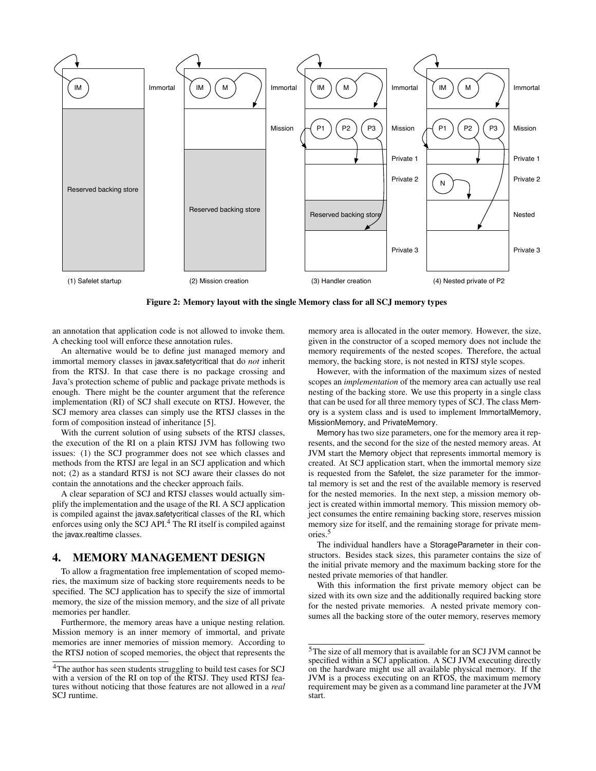

<span id="page-4-2"></span>Figure 2: Memory layout with the single Memory class for all SCJ memory types

an annotation that application code is not allowed to invoke them. A checking tool will enforce these annotation rules.

An alternative would be to define just managed memory and immortal memory classes in javax.safetycritical that do *not* inherit from the RTSJ. In that case there is no package crossing and Java's protection scheme of public and package private methods is enough. There might be the counter argument that the reference implementation (RI) of SCJ shall execute on RTSJ. However, the SCJ memory area classes can simply use the RTSJ classes in the form of composition instead of inheritance [\[5\]](#page-6-9).

With the current solution of using subsets of the RTSJ classes, the execution of the RI on a plain RTSJ JVM has following two issues: (1) the SCJ programmer does not see which classes and methods from the RTSJ are legal in an SCJ application and which not; (2) as a standard RTSJ is not SCJ aware their classes do not contain the annotations and the checker approach fails.

A clear separation of SCJ and RTSJ classes would actually simplify the implementation and the usage of the RI. A SCJ application is compiled against the javax.safetycritical classes of the RI, which enforces using only the SCJ API.[4](#page-4-0) The RI itself is compiled against the javax.realtime classes.

#### 4. MEMORY MANAGEMENT DESIGN

To allow a fragmentation free implementation of scoped memories, the maximum size of backing store requirements needs to be specified. The SCJ application has to specify the size of immortal memory, the size of the mission memory, and the size of all private memories per handler.

Furthermore, the memory areas have a unique nesting relation. Mission memory is an inner memory of immortal, and private memories are inner memories of mission memory. According to the RTSJ notion of scoped memories, the object that represents the memory area is allocated in the outer memory. However, the size, given in the constructor of a scoped memory does not include the memory requirements of the nested scopes. Therefore, the actual memory, the backing store, is not nested in RTSJ style scopes.

However, with the information of the maximum sizes of nested scopes an *implementation* of the memory area can actually use real nesting of the backing store. We use this property in a single class that can be used for all three memory types of SCJ. The class Memory is a system class and is used to implement ImmortalMemory, MissionMemory, and PrivateMemory.

Memory has two size parameters, one for the memory area it represents, and the second for the size of the nested memory areas. At JVM start the Memory object that represents immortal memory is created. At SCJ application start, when the immortal memory size is requested from the Safelet, the size parameter for the immortal memory is set and the rest of the available memory is reserved for the nested memories. In the next step, a mission memory object is created within immortal memory. This mission memory object consumes the entire remaining backing store, reserves mission memory size for itself, and the remaining storage for private memories.[5](#page-4-1)

The individual handlers have a StorageParameter in their constructors. Besides stack sizes, this parameter contains the size of the initial private memory and the maximum backing store for the nested private memories of that handler.

With this information the first private memory object can be sized with its own size and the additionally required backing store for the nested private memories. A nested private memory consumes all the backing store of the outer memory, reserves memory

<span id="page-4-0"></span><sup>4</sup>The author has seen students struggling to build test cases for SCJ with a version of the RI on top of the RTSJ. They used RTSJ features without noticing that those features are not allowed in a *real* SCJ runtime.

<span id="page-4-1"></span><sup>5</sup>The size of all memory that is available for an SCJ JVM cannot be specified within a SCJ application. A SCJ JVM executing directly on the hardware might use all available physical memory. If the JVM is a process executing on an RTOS, the maximum memory requirement may be given as a command line parameter at the JVM start.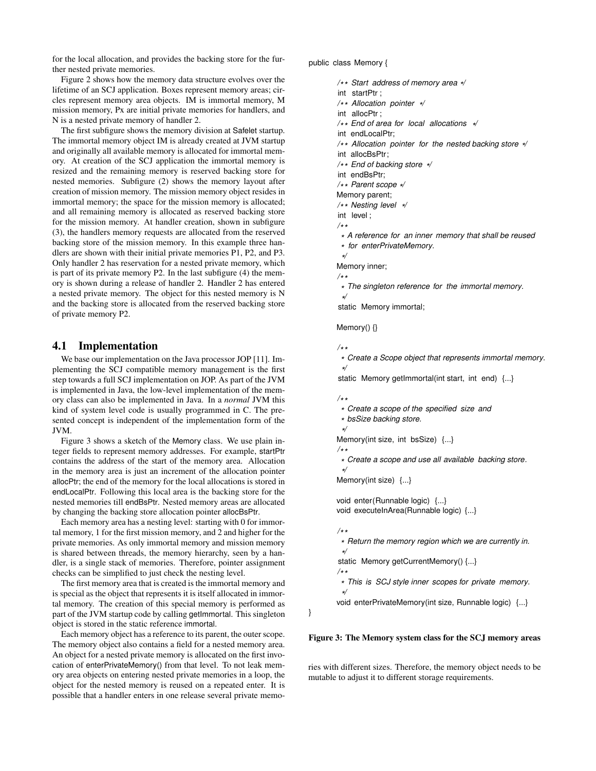for the local allocation, and provides the backing store for the further nested private memories.

Figure [2](#page-4-2) shows how the memory data structure evolves over the lifetime of an SCJ application. Boxes represent memory areas; circles represent memory area objects. IM is immortal memory, M mission memory, Px are initial private memories for handlers, and N is a nested private memory of handler 2.

The first subfigure shows the memory division at Safelet startup. The immortal memory object IM is already created at JVM startup and originally all available memory is allocated for immortal memory. At creation of the SCJ application the immortal memory is resized and the remaining memory is reserved backing store for nested memories. Subfigure (2) shows the memory layout after creation of mission memory. The mission memory object resides in immortal memory; the space for the mission memory is allocated; and all remaining memory is allocated as reserved backing store for the mission memory. At handler creation, shown in subfigure (3), the handlers memory requests are allocated from the reserved backing store of the mission memory. In this example three handlers are shown with their initial private memories P1, P2, and P3. Only handler 2 has reservation for a nested private memory, which is part of its private memory P2. In the last subfigure (4) the memory is shown during a release of handler 2. Handler 2 has entered a nested private memory. The object for this nested memory is N and the backing store is allocated from the reserved backing store of private memory P2.

#### 4.1 Implementation

We base our implementation on the Java processor JOP [\[11\]](#page-6-10). Implementing the SCJ compatible memory management is the first step towards a full SCJ implementation on JOP. As part of the JVM is implemented in Java, the low-level implementation of the memory class can also be implemented in Java. In a *normal* JVM this kind of system level code is usually programmed in C. The presented concept is independent of the implementation form of the JVM.

Figure [3](#page-5-0) shows a sketch of the Memory class. We use plain integer fields to represent memory addresses. For example, startPtr contains the address of the start of the memory area. Allocation in the memory area is just an increment of the allocation pointer allocPtr; the end of the memory for the local allocations is stored in endLocalPtr. Following this local area is the backing store for the nested memories till endBsPtr. Nested memory areas are allocated by changing the backing store allocation pointer allocBsPtr.

Each memory area has a nesting level: starting with 0 for immortal memory, 1 for the first mission memory, and 2 and higher for the private memories. As only immortal memory and mission memory is shared between threads, the memory hierarchy, seen by a handler, is a single stack of memories. Therefore, pointer assignment checks can be simplified to just check the nesting level.

The first memory area that is created is the immortal memory and is special as the object that represents it is itself allocated in immortal memory. The creation of this special memory is performed as part of the JVM startup code by calling getImmortal. This singleton object is stored in the static reference immortal.

Each memory object has a reference to its parent, the outer scope. The memory object also contains a field for a nested memory area. An object for a nested private memory is allocated on the first invocation of enterPrivateMemory() from that level. To not leak memory area objects on entering nested private memories in a loop, the object for the nested memory is reused on a repeated enter. It is possible that a handler enters in one release several private memopublic class Memory {

```
/
**
Start address of memory area *
/
        int startPtr ;
         /
**
Allocation pointer
*
/
        int allocPtr ;
         /
**
End of area for local allocations *
/
        int endLocalPtr;
         /
**
Allocation pointer for the nested backing store *
/
        int allocBsPtr;
         /
**
End of backing store *
/
        int endBsPtr;
         /
**
Parent scope *
/
        Memory parent;
         /
** Nesting level
*
/
        int level ;
         /
**
          *
A reference for an inner memory that shall be reused
          *
for enterPrivateMemory.
        *
Memory inner;
           /
         /
**
          *
The singleton reference for the immortal memory.
         *
static Memory immortal;
           /
        Memory() {}
         /
**
          * Create a Scope object that represents immortal memory.
         *
static Memory getImmortal(int start, int end) {...}
           /
         /
**
          * Create a scope of the specified size and
          *
bsSize backing store.
        *
Memory(int size, int bsSize) {...}
           /
         /
**
          * Create a scope and use all available backing store.
        *
Memory(int size) {...}
           /
        void enter(Runnable logic) {...}
        void executeInArea(Runnable logic) {...}
         /
**
          * Return the memory region which we are currently in.
         *
static Memory getCurrentMemory() {...}
           /
         /
**
          *
This is SCJ style inner scopes for private memory.
          *
/
        void enterPrivateMemory(int size, Runnable logic) {...}
Figure 3: The Memory system class for the SCJ memory areas
```
ries with different sizes. Therefore, the memory object needs to be mutable to adjust it to different storage requirements.

<span id="page-5-0"></span>}